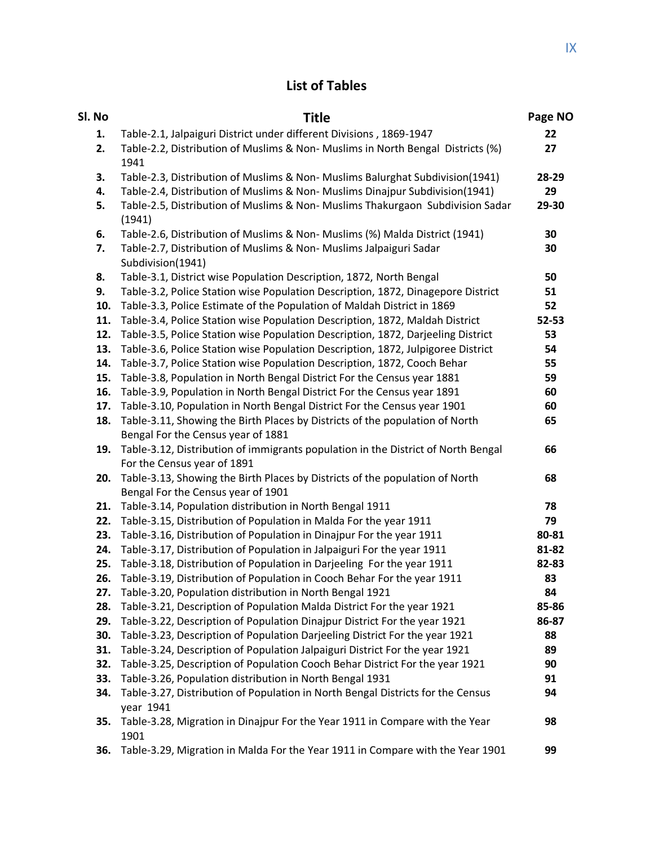## **List of Tables**

| Sl. No     | <b>Title</b>                                                                                                       | Page NO  |
|------------|--------------------------------------------------------------------------------------------------------------------|----------|
| 1.         | Table-2.1, Jalpaiguri District under different Divisions, 1869-1947                                                | 22       |
| 2.         | Table-2.2, Distribution of Muslims & Non- Muslims in North Bengal Districts (%)<br>1941                            | 27       |
| 3.         | Table-2.3, Distribution of Muslims & Non- Muslims Balurghat Subdivision(1941)                                      | 28-29    |
| 4.         | Table-2.4, Distribution of Muslims & Non- Muslims Dinajpur Subdivision(1941)                                       | 29       |
| 5.         | Table-2.5, Distribution of Muslims & Non- Muslims Thakurgaon Subdivision Sadar<br>(1941)                           | 29-30    |
| 6.         | Table-2.6, Distribution of Muslims & Non- Muslims (%) Malda District (1941)                                        | 30       |
| 7.         | Table-2.7, Distribution of Muslims & Non- Muslims Jalpaiguri Sadar<br>Subdivision(1941)                            | 30       |
| 8.         | Table-3.1, District wise Population Description, 1872, North Bengal                                                | 50       |
| 9.         | Table-3.2, Police Station wise Population Description, 1872, Dinagepore District                                   | 51       |
| 10.        | Table-3.3, Police Estimate of the Population of Maldah District in 1869                                            | 52       |
| 11.        | Table-3.4, Police Station wise Population Description, 1872, Maldah District                                       | 52-53    |
| 12.        | Table-3.5, Police Station wise Population Description, 1872, Darjeeling District                                   | 53       |
| 13.        | Table-3.6, Police Station wise Population Description, 1872, Julpigoree District                                   | 54       |
| 14.        | Table-3.7, Police Station wise Population Description, 1872, Cooch Behar                                           | 55       |
| 15.        | Table-3.8, Population in North Bengal District For the Census year 1881                                            | 59       |
| 16.        | Table-3.9, Population in North Bengal District For the Census year 1891                                            | 60       |
| 17.<br>18. | Table-3.10, Population in North Bengal District For the Census year 1901                                           | 60<br>65 |
|            | Table-3.11, Showing the Birth Places by Districts of the population of North<br>Bengal For the Census year of 1881 |          |
| 19.        | Table-3.12, Distribution of immigrants population in the District of North Bengal                                  | 66       |
|            | For the Census year of 1891                                                                                        |          |
| 20.        | Table-3.13, Showing the Birth Places by Districts of the population of North                                       | 68       |
|            | Bengal For the Census year of 1901                                                                                 |          |
| 21.        | Table-3.14, Population distribution in North Bengal 1911                                                           | 78       |
| 22.        | Table-3.15, Distribution of Population in Malda For the year 1911                                                  | 79       |
| 23.        | Table-3.16, Distribution of Population in Dinajpur For the year 1911                                               | 80-81    |
| 24.        | Table-3.17, Distribution of Population in Jalpaiguri For the year 1911                                             | 81-82    |
| 25.        | Table-3.18, Distribution of Population in Darjeeling For the year 1911                                             | 82-83    |
| 26.        | Table-3.19, Distribution of Population in Cooch Behar For the year 1911                                            | 83       |
| 27.        | Table-3.20, Population distribution in North Bengal 1921                                                           | 84       |
| 28.        | Table-3.21, Description of Population Malda District For the year 1921                                             | 85-86    |
| 29.        | Table-3.22, Description of Population Dinajpur District For the year 1921                                          | 86-87    |
| 30.        | Table-3.23, Description of Population Darjeeling District For the year 1921                                        | 88       |
| 31.        | Table-3.24, Description of Population Jalpaiguri District For the year 1921                                        | 89       |
| 32.        | Table-3.25, Description of Population Cooch Behar District For the year 1921                                       | 90       |
| 33.        | Table-3.26, Population distribution in North Bengal 1931                                                           | 91       |
| 34.        | Table-3.27, Distribution of Population in North Bengal Districts for the Census<br>year 1941                       | 94       |
| 35.        | Table-3.28, Migration in Dinajpur For the Year 1911 in Compare with the Year<br>1901                               | 98       |
| 36.        | Table-3.29, Migration in Malda For the Year 1911 in Compare with the Year 1901                                     | 99       |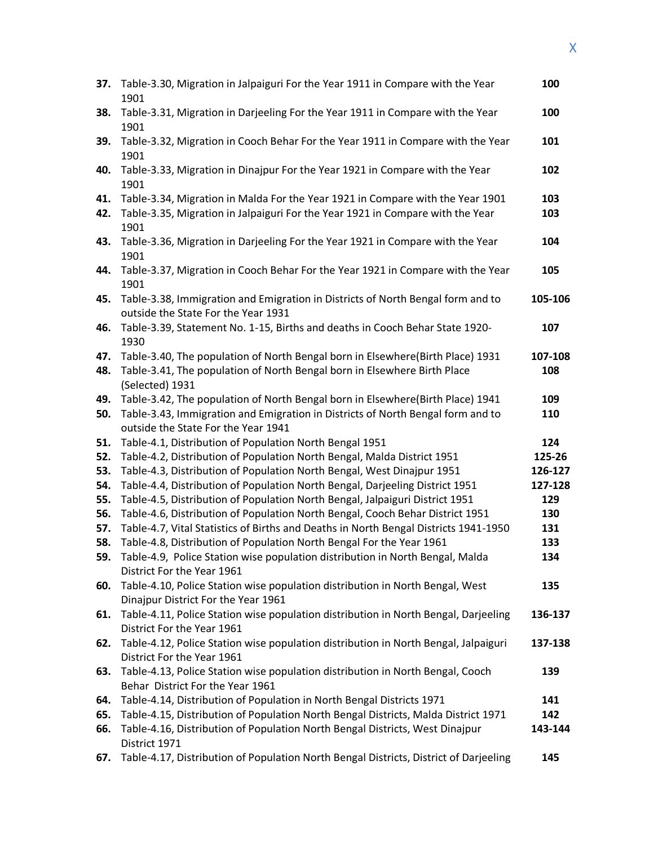| 37.        | Table-3.30, Migration in Jalpaiguri For the Year 1911 in Compare with the Year<br>1901                                                                                                                   | 100            |
|------------|----------------------------------------------------------------------------------------------------------------------------------------------------------------------------------------------------------|----------------|
| 38.        | Table-3.31, Migration in Darjeeling For the Year 1911 in Compare with the Year<br>1901                                                                                                                   | 100            |
| 39.        | Table-3.32, Migration in Cooch Behar For the Year 1911 in Compare with the Year<br>1901                                                                                                                  | 101            |
| 40.        | Table-3.33, Migration in Dinajpur For the Year 1921 in Compare with the Year<br>1901                                                                                                                     | 102            |
| 41.<br>42. | Table-3.34, Migration in Malda For the Year 1921 in Compare with the Year 1901<br>Table-3.35, Migration in Jalpaiguri For the Year 1921 in Compare with the Year<br>1901                                 | 103<br>103     |
| 43.        | Table-3.36, Migration in Darjeeling For the Year 1921 in Compare with the Year<br>1901                                                                                                                   | 104            |
| 44.        | Table-3.37, Migration in Cooch Behar For the Year 1921 in Compare with the Year<br>1901                                                                                                                  | 105            |
| 45.        | Table-3.38, Immigration and Emigration in Districts of North Bengal form and to<br>outside the State For the Year 1931                                                                                   | 105-106        |
| 46.        | Table-3.39, Statement No. 1-15, Births and deaths in Cooch Behar State 1920-<br>1930                                                                                                                     | 107            |
| 47.<br>48. | Table-3.40, The population of North Bengal born in Elsewhere(Birth Place) 1931<br>Table-3.41, The population of North Bengal born in Elsewhere Birth Place<br>(Selected) 1931                            | 107-108<br>108 |
| 49.<br>50. | Table-3.42, The population of North Bengal born in Elsewhere(Birth Place) 1941<br>Table-3.43, Immigration and Emigration in Districts of North Bengal form and to<br>outside the State For the Year 1941 | 109<br>110     |
| 51.        | Table-4.1, Distribution of Population North Bengal 1951                                                                                                                                                  | 124            |
| 52.        | Table-4.2, Distribution of Population North Bengal, Malda District 1951                                                                                                                                  | 125-26         |
| 53.        | Table-4.3, Distribution of Population North Bengal, West Dinajpur 1951                                                                                                                                   | 126-127        |
| 54.        | Table-4.4, Distribution of Population North Bengal, Darjeeling District 1951                                                                                                                             | 127-128        |
| 55.        | Table-4.5, Distribution of Population North Bengal, Jalpaiguri District 1951                                                                                                                             | 129            |
| 56.        | Table-4.6, Distribution of Population North Bengal, Cooch Behar District 1951                                                                                                                            | 130            |
| 57.        | Table-4.7, Vital Statistics of Births and Deaths in North Bengal Districts 1941-1950                                                                                                                     | 131            |
| 58.        | Table-4.8, Distribution of Population North Bengal For the Year 1961                                                                                                                                     | 133            |
| 59.        | Table-4.9, Police Station wise population distribution in North Bengal, Malda<br>District For the Year 1961                                                                                              | 134            |
| 60.        | Table-4.10, Police Station wise population distribution in North Bengal, West<br>Dinajpur District For the Year 1961                                                                                     | 135            |
| 61.        | Table-4.11, Police Station wise population distribution in North Bengal, Darjeeling<br>District For the Year 1961                                                                                        | 136-137        |
| 62.        | Table-4.12, Police Station wise population distribution in North Bengal, Jalpaiguri<br>District For the Year 1961                                                                                        | 137-138        |
| 63.        | Table-4.13, Police Station wise population distribution in North Bengal, Cooch<br>Behar District For the Year 1961                                                                                       | 139            |
| 64.        | Table-4.14, Distribution of Population in North Bengal Districts 1971                                                                                                                                    | 141            |
| 65.<br>66. | Table-4.15, Distribution of Population North Bengal Districts, Malda District 1971<br>Table-4.16, Distribution of Population North Bengal Districts, West Dinajpur<br>District 1971                      | 142<br>143-144 |
| 67.        | Table-4.17, Distribution of Population North Bengal Districts, District of Darjeeling                                                                                                                    | 145            |
|            |                                                                                                                                                                                                          |                |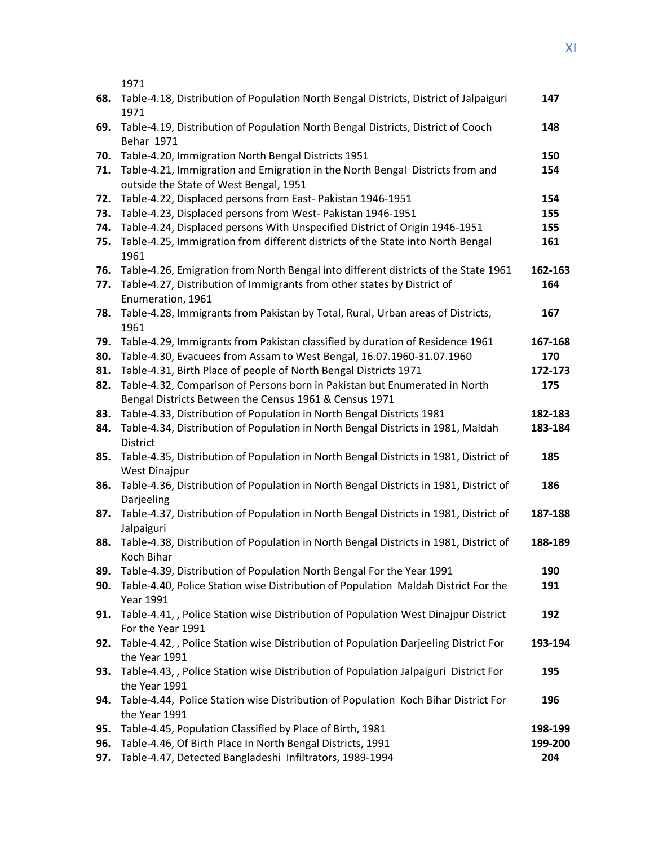1971

| 68. | Table-4.18, Distribution of Population North Bengal Districts, District of Jalpaiguri<br>1971       | 147     |
|-----|-----------------------------------------------------------------------------------------------------|---------|
| 69. | Table-4.19, Distribution of Population North Bengal Districts, District of Cooch                    | 148     |
|     | Behar 1971                                                                                          |         |
| 70. | Table-4.20, Immigration North Bengal Districts 1951                                                 | 150     |
| 71. | Table-4.21, Immigration and Emigration in the North Bengal Districts from and                       | 154     |
|     | outside the State of West Bengal, 1951                                                              |         |
| 72. | Table-4.22, Displaced persons from East- Pakistan 1946-1951                                         | 154     |
| 73. | Table-4.23, Displaced persons from West- Pakistan 1946-1951                                         | 155     |
| 74. | Table-4.24, Displaced persons With Unspecified District of Origin 1946-1951                         | 155     |
| 75. | Table-4.25, Immigration from different districts of the State into North Bengal<br>1961             | 161     |
| 76. | Table-4.26, Emigration from North Bengal into different districts of the State 1961                 | 162-163 |
| 77. | Table-4.27, Distribution of Immigrants from other states by District of                             | 164     |
|     | Enumeration, 1961                                                                                   |         |
| 78. | Table-4.28, Immigrants from Pakistan by Total, Rural, Urban areas of Districts,<br>1961             | 167     |
| 79. | Table-4.29, Immigrants from Pakistan classified by duration of Residence 1961                       | 167-168 |
| 80. | Table-4.30, Evacuees from Assam to West Bengal, 16.07.1960-31.07.1960                               | 170     |
| 81. | Table-4.31, Birth Place of people of North Bengal Districts 1971                                    | 172-173 |
| 82. | Table-4.32, Comparison of Persons born in Pakistan but Enumerated in North                          | 175     |
|     | Bengal Districts Between the Census 1961 & Census 1971                                              |         |
| 83. | Table-4.33, Distribution of Population in North Bengal Districts 1981                               | 182-183 |
| 84. | Table-4.34, Distribution of Population in North Bengal Districts in 1981, Maldah                    | 183-184 |
|     | District                                                                                            |         |
| 85. | Table-4.35, Distribution of Population in North Bengal Districts in 1981, District of               | 185     |
|     | <b>West Dinajpur</b>                                                                                |         |
| 86. | Table-4.36, Distribution of Population in North Bengal Districts in 1981, District of               | 186     |
|     | Darjeeling                                                                                          |         |
| 87. | Table-4.37, Distribution of Population in North Bengal Districts in 1981, District of<br>Jalpaiguri | 187-188 |
| 88. | Table-4.38, Distribution of Population in North Bengal Districts in 1981, District of               | 188-189 |
|     | <b>Koch Bihar</b>                                                                                   |         |
| 89. | Table-4.39, Distribution of Population North Bengal For the Year 1991                               | 190     |
| 90. | Table-4.40, Police Station wise Distribution of Population Maldah District For the                  | 191     |
|     | Year 1991                                                                                           |         |
| 91. | Table-4.41, , Police Station wise Distribution of Population West Dinajpur District                 | 192     |
|     | For the Year 1991                                                                                   |         |
| 92. | Table-4.42, , Police Station wise Distribution of Population Darjeeling District For                | 193-194 |
|     | the Year 1991                                                                                       |         |
| 93. | Table-4.43, , Police Station wise Distribution of Population Jalpaiguri District For                | 195     |
|     | the Year 1991                                                                                       |         |
| 94. | Table-4.44, Police Station wise Distribution of Population Koch Bihar District For                  | 196     |
|     | the Year 1991                                                                                       |         |
| 95. | Table-4.45, Population Classified by Place of Birth, 1981                                           | 198-199 |
| 96. | Table-4.46, Of Birth Place In North Bengal Districts, 1991                                          | 199-200 |
| 97. | Table-4.47, Detected Bangladeshi Infiltrators, 1989-1994                                            | 204     |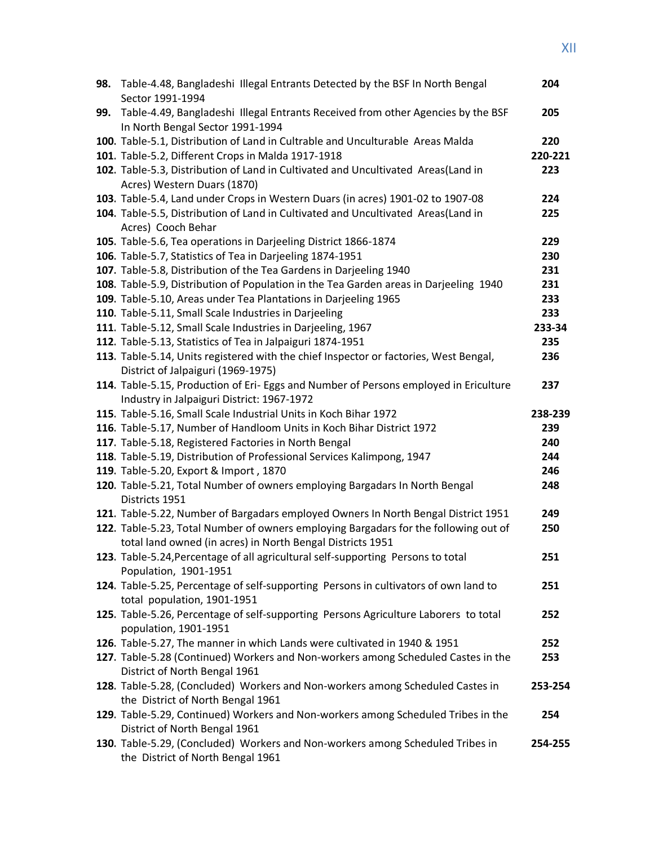| 98. | Table-4.48, Bangladeshi Illegal Entrants Detected by the BSF In North Bengal                                                                   | 204     |
|-----|------------------------------------------------------------------------------------------------------------------------------------------------|---------|
|     | Sector 1991-1994                                                                                                                               |         |
| 99. | Table-4.49, Bangladeshi Illegal Entrants Received from other Agencies by the BSF<br>In North Bengal Sector 1991-1994                           | 205     |
|     | 100. Table-5.1, Distribution of Land in Cultrable and Unculturable Areas Malda                                                                 | 220     |
|     | 101. Table-5.2, Different Crops in Malda 1917-1918                                                                                             | 220-221 |
|     | 102. Table-5.3, Distribution of Land in Cultivated and Uncultivated Areas(Land in                                                              | 223     |
|     | Acres) Western Duars (1870)                                                                                                                    |         |
|     | 103. Table-5.4, Land under Crops in Western Duars (in acres) 1901-02 to 1907-08                                                                | 224     |
|     | 104. Table-5.5, Distribution of Land in Cultivated and Uncultivated Areas(Land in                                                              | 225     |
|     | Acres) Cooch Behar                                                                                                                             |         |
|     | 105. Table-5.6, Tea operations in Darjeeling District 1866-1874                                                                                | 229     |
|     | 106. Table-5.7, Statistics of Tea in Darjeeling 1874-1951                                                                                      | 230     |
|     | 107. Table-5.8, Distribution of the Tea Gardens in Darjeeling 1940                                                                             | 231     |
|     | 108. Table-5.9, Distribution of Population in the Tea Garden areas in Darjeeling 1940                                                          | 231     |
|     | 109. Table-5.10, Areas under Tea Plantations in Darjeeling 1965                                                                                | 233     |
|     | 110. Table-5.11, Small Scale Industries in Darjeeling                                                                                          | 233     |
|     | 111. Table-5.12, Small Scale Industries in Darjeeling, 1967                                                                                    | 233-34  |
|     | 112. Table-5.13, Statistics of Tea in Jalpaiguri 1874-1951                                                                                     | 235     |
|     | 113. Table-5.14, Units registered with the chief Inspector or factories, West Bengal,                                                          | 236     |
|     | District of Jalpaiguri (1969-1975)                                                                                                             |         |
|     | 114. Table-5.15, Production of Eri- Eggs and Number of Persons employed in Ericulture                                                          | 237     |
|     | Industry in Jalpaiguri District: 1967-1972                                                                                                     |         |
|     | 115. Table-5.16, Small Scale Industrial Units in Koch Bihar 1972                                                                               | 238-239 |
|     | 116. Table-5.17, Number of Handloom Units in Koch Bihar District 1972                                                                          | 239     |
|     | 117. Table-5.18, Registered Factories in North Bengal                                                                                          | 240     |
|     | 118. Table-5.19, Distribution of Professional Services Kalimpong, 1947                                                                         | 244     |
|     | 119. Table-5.20, Export & Import, 1870                                                                                                         | 246     |
|     | 120. Table-5.21, Total Number of owners employing Bargadars In North Bengal                                                                    | 248     |
|     | Districts 1951                                                                                                                                 |         |
|     | 121. Table-5.22, Number of Bargadars employed Owners In North Bengal District 1951                                                             | 249     |
|     | 122. Table-5.23, Total Number of owners employing Bargadars for the following out of                                                           | 250     |
|     | total land owned (in acres) in North Bengal Districts 1951<br>123. Table-5.24, Percentage of all agricultural self-supporting Persons to total | 251     |
|     | Population, 1901-1951                                                                                                                          |         |
|     | 124. Table-5.25, Percentage of self-supporting Persons in cultivators of own land to                                                           | 251     |
|     | total population, 1901-1951                                                                                                                    |         |
|     | 125. Table-5.26, Percentage of self-supporting Persons Agriculture Laborers to total                                                           | 252     |
|     | population, 1901-1951                                                                                                                          |         |
|     | 126. Table-5.27, The manner in which Lands were cultivated in 1940 & 1951                                                                      | 252     |
|     | 127. Table-5.28 (Continued) Workers and Non-workers among Scheduled Castes in the                                                              | 253     |
|     | District of North Bengal 1961                                                                                                                  |         |
|     | 128. Table-5.28, (Concluded) Workers and Non-workers among Scheduled Castes in                                                                 | 253-254 |
|     | the District of North Bengal 1961                                                                                                              |         |
|     | 129. Table-5.29, Continued) Workers and Non-workers among Scheduled Tribes in the                                                              | 254     |
|     | District of North Bengal 1961                                                                                                                  |         |
|     | 130. Table-5.29, (Concluded) Workers and Non-workers among Scheduled Tribes in                                                                 | 254-255 |
|     | the District of North Bengal 1961                                                                                                              |         |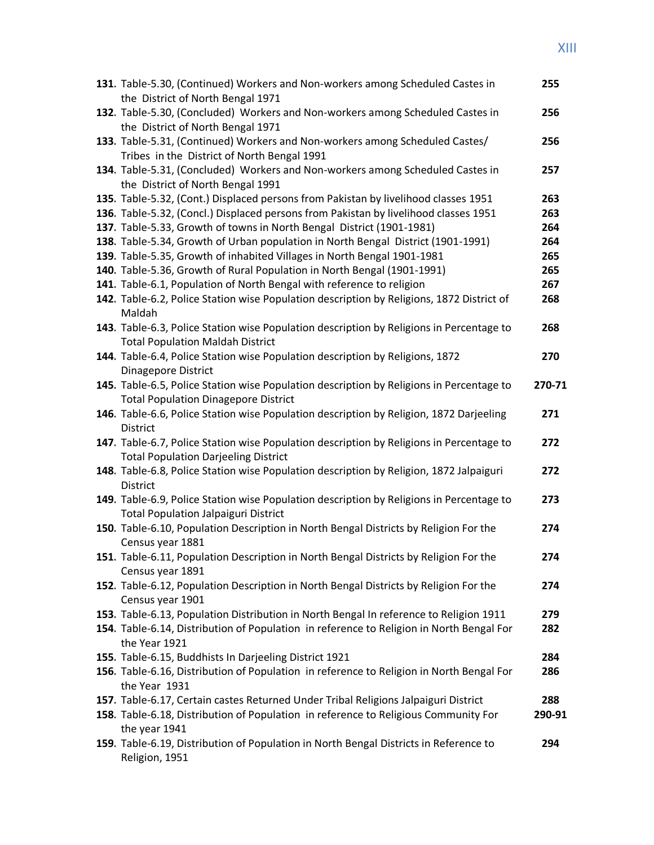## XIII

| 131. Table-5.30, (Continued) Workers and Non-workers among Scheduled Castes in<br>the District of North Bengal 1971                     | 255    |
|-----------------------------------------------------------------------------------------------------------------------------------------|--------|
| 132. Table-5.30, (Concluded) Workers and Non-workers among Scheduled Castes in                                                          | 256    |
| the District of North Bengal 1971                                                                                                       |        |
| 133. Table-5.31, (Continued) Workers and Non-workers among Scheduled Castes/                                                            | 256    |
| Tribes in the District of North Bengal 1991                                                                                             |        |
| 134. Table-5.31, (Concluded) Workers and Non-workers among Scheduled Castes in                                                          | 257    |
| the District of North Bengal 1991                                                                                                       |        |
| 135. Table-5.32, (Cont.) Displaced persons from Pakistan by livelihood classes 1951                                                     | 263    |
| 136. Table-5.32, (Concl.) Displaced persons from Pakistan by livelihood classes 1951                                                    | 263    |
| 137. Table-5.33, Growth of towns in North Bengal District (1901-1981)                                                                   | 264    |
| 138. Table-5.34, Growth of Urban population in North Bengal District (1901-1991)                                                        | 264    |
| 139. Table-5.35, Growth of inhabited Villages in North Bengal 1901-1981                                                                 | 265    |
| 140. Table-5.36, Growth of Rural Population in North Bengal (1901-1991)                                                                 | 265    |
| 141. Table-6.1, Population of North Bengal with reference to religion                                                                   | 267    |
| 142. Table-6.2, Police Station wise Population description by Religions, 1872 District of<br>Maldah                                     | 268    |
| 143. Table-6.3, Police Station wise Population description by Religions in Percentage to<br><b>Total Population Maldah District</b>     | 268    |
| 144. Table-6.4, Police Station wise Population description by Religions, 1872                                                           | 270    |
| <b>Dinagepore District</b>                                                                                                              |        |
| 145. Table-6.5, Police Station wise Population description by Religions in Percentage to                                                | 270-71 |
| <b>Total Population Dinagepore District</b>                                                                                             |        |
| 146. Table-6.6, Police Station wise Population description by Religion, 1872 Darjeeling                                                 | 271    |
| District                                                                                                                                |        |
| 147. Table-6.7, Police Station wise Population description by Religions in Percentage to                                                | 272    |
| <b>Total Population Darjeeling District</b>                                                                                             |        |
| 148. Table-6.8, Police Station wise Population description by Religion, 1872 Jalpaiguri                                                 | 272    |
| <b>District</b>                                                                                                                         |        |
| 149. Table-6.9, Police Station wise Population description by Religions in Percentage to<br><b>Total Population Jalpaiguri District</b> | 273    |
| 150. Table-6.10, Population Description in North Bengal Districts by Religion For the                                                   | 274    |
| Census year 1881                                                                                                                        |        |
| 151. Table-6.11, Population Description in North Bengal Districts by Religion For the<br>Census year 1891                               | 274    |
| 152. Table-6.12, Population Description in North Bengal Districts by Religion For the                                                   | 274    |
| Census year 1901                                                                                                                        |        |
| 153. Table-6.13, Population Distribution in North Bengal In reference to Religion 1911                                                  | 279    |
| 154. Table-6.14, Distribution of Population in reference to Religion in North Bengal For<br>the Year 1921                               | 282    |
| 155. Table-6.15, Buddhists In Darjeeling District 1921                                                                                  | 284    |
| 156. Table-6.16, Distribution of Population in reference to Religion in North Bengal For                                                | 286    |
| the Year 1931                                                                                                                           |        |
| 157. Table-6.17, Certain castes Returned Under Tribal Religions Jalpaiguri District                                                     | 288    |
| 158. Table-6.18, Distribution of Population in reference to Religious Community For                                                     | 290-91 |
| the year 1941                                                                                                                           |        |
| 159. Table-6.19, Distribution of Population in North Bengal Districts in Reference to<br>Religion, 1951                                 | 294    |
|                                                                                                                                         |        |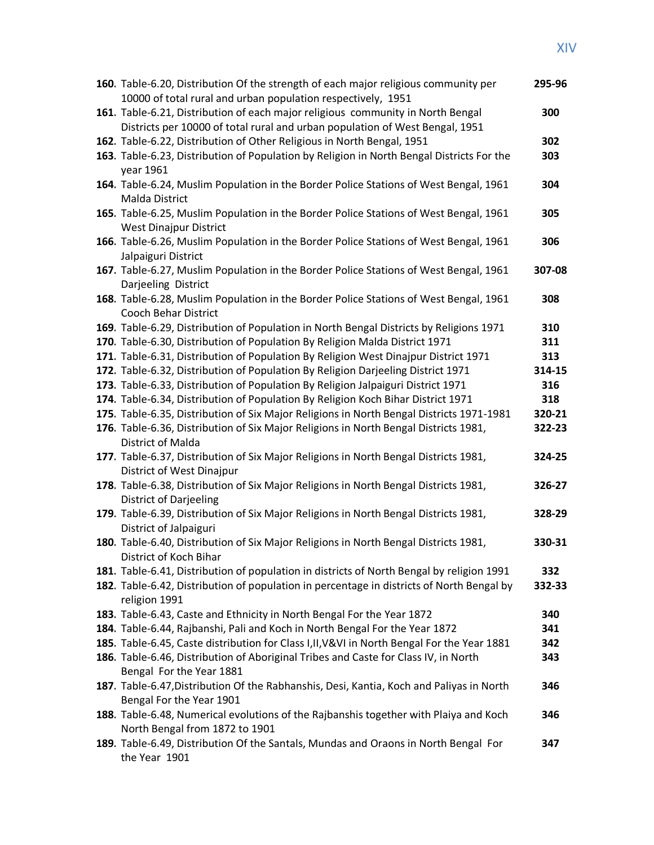| 160. Table-6.20, Distribution Of the strength of each major religious community per<br>10000 of total rural and urban population respectively, 1951                        | 295-96     |
|----------------------------------------------------------------------------------------------------------------------------------------------------------------------------|------------|
| 161. Table-6.21, Distribution of each major religious community in North Bengal                                                                                            | 300        |
| Districts per 10000 of total rural and urban population of West Bengal, 1951                                                                                               |            |
| 162. Table-6.22, Distribution of Other Religious in North Bengal, 1951                                                                                                     | 302        |
| 163. Table-6.23, Distribution of Population by Religion in North Bengal Districts For the                                                                                  | 303        |
| year 1961                                                                                                                                                                  |            |
| 164. Table-6.24, Muslim Population in the Border Police Stations of West Bengal, 1961                                                                                      | 304        |
| <b>Malda District</b>                                                                                                                                                      |            |
| 165. Table-6.25, Muslim Population in the Border Police Stations of West Bengal, 1961                                                                                      | 305        |
| <b>West Dinajpur District</b>                                                                                                                                              |            |
| 166. Table-6.26, Muslim Population in the Border Police Stations of West Bengal, 1961                                                                                      | 306        |
| Jalpaiguri District                                                                                                                                                        |            |
| 167. Table-6.27, Muslim Population in the Border Police Stations of West Bengal, 1961                                                                                      | 307-08     |
| Darjeeling District                                                                                                                                                        |            |
| 168. Table-6.28, Muslim Population in the Border Police Stations of West Bengal, 1961                                                                                      | 308        |
| Cooch Behar District                                                                                                                                                       |            |
| 169. Table-6.29, Distribution of Population in North Bengal Districts by Religions 1971                                                                                    | 310        |
| 170. Table-6.30, Distribution of Population By Religion Malda District 1971                                                                                                | 311        |
| 171. Table-6.31, Distribution of Population By Religion West Dinajpur District 1971                                                                                        | 313        |
| 172. Table-6.32, Distribution of Population By Religion Darjeeling District 1971                                                                                           | 314-15     |
| 173. Table-6.33, Distribution of Population By Religion Jalpaiguri District 1971                                                                                           | 316        |
| 174. Table-6.34, Distribution of Population By Religion Koch Bihar District 1971                                                                                           | 318        |
| 175. Table-6.35, Distribution of Six Major Religions in North Bengal Districts 1971-1981                                                                                   | 320-21     |
| 176. Table-6.36, Distribution of Six Major Religions in North Bengal Districts 1981,                                                                                       | 322-23     |
| District of Malda                                                                                                                                                          |            |
| 177. Table-6.37, Distribution of Six Major Religions in North Bengal Districts 1981,                                                                                       | 324-25     |
| District of West Dinajpur                                                                                                                                                  |            |
| 178. Table-6.38, Distribution of Six Major Religions in North Bengal Districts 1981,                                                                                       | 326-27     |
| <b>District of Darjeeling</b>                                                                                                                                              |            |
| 179. Table-6.39, Distribution of Six Major Religions in North Bengal Districts 1981,                                                                                       | 328-29     |
| District of Jalpaiguri                                                                                                                                                     |            |
| 180. Table-6.40, Distribution of Six Major Religions in North Bengal Districts 1981,                                                                                       | 330-31     |
| District of Koch Bihar                                                                                                                                                     |            |
| 181. Table-6.41, Distribution of population in districts of North Bengal by religion 1991                                                                                  | 332        |
| 182. Table-6.42, Distribution of population in percentage in districts of North Bengal by                                                                                  | 332-33     |
| religion 1991                                                                                                                                                              |            |
| 183. Table-6.43, Caste and Ethnicity in North Bengal For the Year 1872                                                                                                     | 340        |
| 184. Table-6.44, Rajbanshi, Pali and Koch in North Bengal For the Year 1872<br>185. Table-6.45, Caste distribution for Class I, II, V&VI in North Bengal For the Year 1881 | 341<br>342 |
| 186. Table-6.46, Distribution of Aboriginal Tribes and Caste for Class IV, in North                                                                                        | 343        |
| Bengal For the Year 1881                                                                                                                                                   |            |
| 187. Table-6.47, Distribution Of the Rabhanshis, Desi, Kantia, Koch and Paliyas in North                                                                                   | 346        |
| Bengal For the Year 1901                                                                                                                                                   |            |
| 188. Table-6.48, Numerical evolutions of the Rajbanshis together with Plaiya and Koch                                                                                      | 346        |
| North Bengal from 1872 to 1901                                                                                                                                             |            |
| 189. Table-6.49, Distribution Of the Santals, Mundas and Oraons in North Bengal For                                                                                        | 347        |
| the Year 1901                                                                                                                                                              |            |
|                                                                                                                                                                            |            |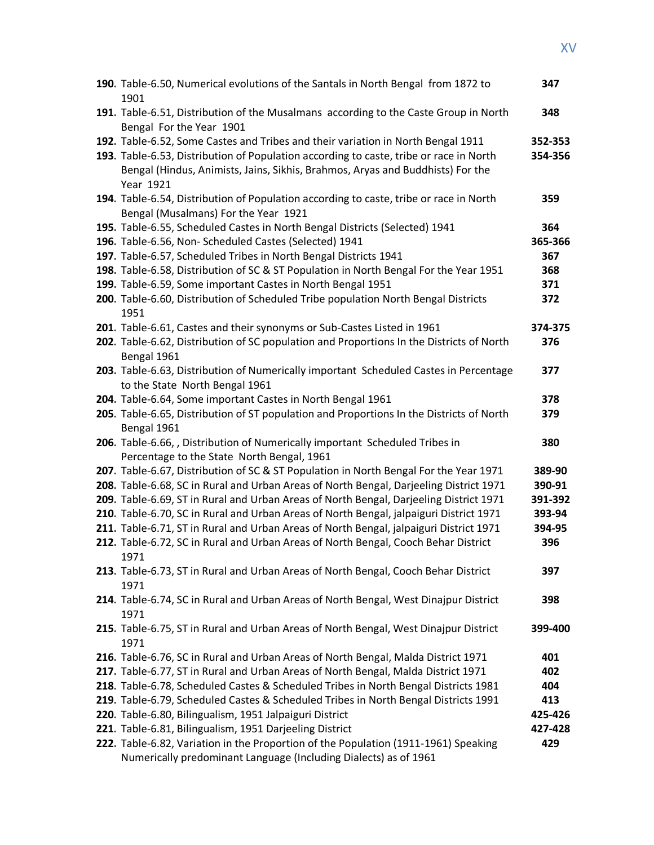| 190. Table-6.50, Numerical evolutions of the Santals in North Bengal from 1872 to<br>1901                                                                                                                                                                                 | 347                |
|---------------------------------------------------------------------------------------------------------------------------------------------------------------------------------------------------------------------------------------------------------------------------|--------------------|
| 191. Table-6.51, Distribution of the Musalmans according to the Caste Group in North<br>Bengal For the Year 1901                                                                                                                                                          | 348                |
| 192. Table-6.52, Some Castes and Tribes and their variation in North Bengal 1911<br>193. Table-6.53, Distribution of Population according to caste, tribe or race in North<br>Bengal (Hindus, Animists, Jains, Sikhis, Brahmos, Aryas and Buddhists) For the<br>Year 1921 | 352-353<br>354-356 |
| 194. Table-6.54, Distribution of Population according to caste, tribe or race in North<br>Bengal (Musalmans) For the Year 1921                                                                                                                                            | 359                |
| 195. Table-6.55, Scheduled Castes in North Bengal Districts (Selected) 1941                                                                                                                                                                                               | 364                |
| 196. Table-6.56, Non- Scheduled Castes (Selected) 1941                                                                                                                                                                                                                    | 365-366            |
| 197. Table-6.57, Scheduled Tribes in North Bengal Districts 1941                                                                                                                                                                                                          | 367                |
| 198. Table-6.58, Distribution of SC & ST Population in North Bengal For the Year 1951                                                                                                                                                                                     | 368                |
| 199. Table-6.59, Some important Castes in North Bengal 1951                                                                                                                                                                                                               | 371                |
| 200. Table-6.60, Distribution of Scheduled Tribe population North Bengal Districts<br>1951                                                                                                                                                                                | 372                |
| 201. Table-6.61, Castes and their synonyms or Sub-Castes Listed in 1961                                                                                                                                                                                                   | 374-375            |
| 202. Table-6.62, Distribution of SC population and Proportions In the Districts of North<br>Bengal 1961                                                                                                                                                                   | 376                |
| 203. Table-6.63, Distribution of Numerically important Scheduled Castes in Percentage<br>to the State North Bengal 1961                                                                                                                                                   | 377                |
| 204. Table-6.64, Some important Castes in North Bengal 1961                                                                                                                                                                                                               | 378                |
| 205. Table-6.65, Distribution of ST population and Proportions In the Districts of North<br>Bengal 1961                                                                                                                                                                   | 379                |
| 206. Table-6.66, , Distribution of Numerically important Scheduled Tribes in                                                                                                                                                                                              | 380                |
| Percentage to the State North Bengal, 1961                                                                                                                                                                                                                                |                    |
| 207. Table-6.67, Distribution of SC & ST Population in North Bengal For the Year 1971                                                                                                                                                                                     | 389-90             |
| 208. Table-6.68, SC in Rural and Urban Areas of North Bengal, Darjeeling District 1971                                                                                                                                                                                    | 390-91             |
| 209. Table-6.69, ST in Rural and Urban Areas of North Bengal, Darjeeling District 1971                                                                                                                                                                                    | 391-392            |
| 210. Table-6.70, SC in Rural and Urban Areas of North Bengal, jalpaiguri District 1971                                                                                                                                                                                    | 393-94             |
| 211. Table-6.71, ST in Rural and Urban Areas of North Bengal, jalpaiguri District 1971                                                                                                                                                                                    | 394-95             |
| 212. Table-6.72, SC in Rural and Urban Areas of North Bengal, Cooch Behar District<br>1971                                                                                                                                                                                | 396                |
| 213. Table-6.73, ST in Rural and Urban Areas of North Bengal, Cooch Behar District<br>1971                                                                                                                                                                                | 397                |
| 214. Table-6.74, SC in Rural and Urban Areas of North Bengal, West Dinajpur District<br>1971                                                                                                                                                                              | 398                |
| 215. Table-6.75, ST in Rural and Urban Areas of North Bengal, West Dinajpur District<br>1971                                                                                                                                                                              | 399-400            |
| 216. Table-6.76, SC in Rural and Urban Areas of North Bengal, Malda District 1971                                                                                                                                                                                         | 401                |
| 217. Table-6.77, ST in Rural and Urban Areas of North Bengal, Malda District 1971                                                                                                                                                                                         | 402                |
| 218. Table-6.78, Scheduled Castes & Scheduled Tribes in North Bengal Districts 1981                                                                                                                                                                                       | 404                |
| 219. Table-6.79, Scheduled Castes & Scheduled Tribes in North Bengal Districts 1991                                                                                                                                                                                       | 413                |
| 220. Table-6.80, Bilingualism, 1951 Jalpaiguri District                                                                                                                                                                                                                   | 425-426            |
| 221. Table-6.81, Bilingualism, 1951 Darjeeling District                                                                                                                                                                                                                   | 427-428            |
| 222. Table-6.82, Variation in the Proportion of the Population (1911-1961) Speaking                                                                                                                                                                                       | 429                |
| Numerically predominant Language (Including Dialects) as of 1961                                                                                                                                                                                                          |                    |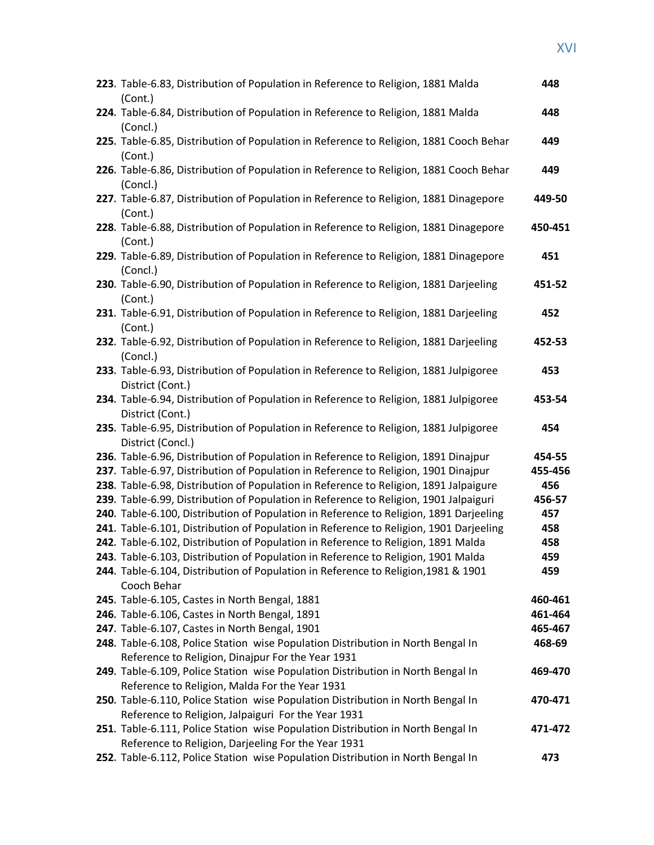| 223. Table-6.83, Distribution of Population in Reference to Religion, 1881 Malda<br>(Cont.)                                                                                     | 448           |
|---------------------------------------------------------------------------------------------------------------------------------------------------------------------------------|---------------|
| 224. Table-6.84, Distribution of Population in Reference to Religion, 1881 Malda<br>(Concl.)                                                                                    | 448           |
| 225. Table-6.85, Distribution of Population in Reference to Religion, 1881 Cooch Behar<br>(Cont.)                                                                               | 449           |
| 226. Table-6.86, Distribution of Population in Reference to Religion, 1881 Cooch Behar<br>(Concl.)                                                                              | 449           |
| 227. Table-6.87, Distribution of Population in Reference to Religion, 1881 Dinagepore<br>(Cont.)                                                                                | 449-50        |
| 228. Table-6.88, Distribution of Population in Reference to Religion, 1881 Dinagepore<br>(Cont.)                                                                                | 450-451       |
| 229. Table-6.89, Distribution of Population in Reference to Religion, 1881 Dinagepore<br>(Concl.)                                                                               | 451           |
| 230. Table-6.90, Distribution of Population in Reference to Religion, 1881 Darjeeling<br>(Cont.)                                                                                | 451-52        |
| 231. Table-6.91, Distribution of Population in Reference to Religion, 1881 Darjeeling<br>(Cont.)                                                                                | 452           |
| 232. Table-6.92, Distribution of Population in Reference to Religion, 1881 Darjeeling<br>(Concl.)                                                                               | 452-53        |
| 233. Table-6.93, Distribution of Population in Reference to Religion, 1881 Julpigoree<br>District (Cont.)                                                                       | 453           |
| 234. Table-6.94, Distribution of Population in Reference to Religion, 1881 Julpigoree<br>District (Cont.)                                                                       | 453-54        |
| 235. Table-6.95, Distribution of Population in Reference to Religion, 1881 Julpigoree<br>District (Concl.)                                                                      | 454           |
| 236. Table-6.96, Distribution of Population in Reference to Religion, 1891 Dinajpur                                                                                             | 454-55        |
| 237. Table-6.97, Distribution of Population in Reference to Religion, 1901 Dinajpur                                                                                             | 455-456       |
| 238. Table-6.98, Distribution of Population in Reference to Religion, 1891 Jalpaigure                                                                                           | 456           |
| 239. Table-6.99, Distribution of Population in Reference to Religion, 1901 Jalpaiguri<br>240. Table-6.100, Distribution of Population in Reference to Religion, 1891 Darjeeling | 456-57<br>457 |
| 241. Table-6.101, Distribution of Population in Reference to Religion, 1901 Darjeeling                                                                                          | 458           |
| 242. Table-6.102, Distribution of Population in Reference to Religion, 1891 Malda                                                                                               | 458           |
| 243. Table-6.103, Distribution of Population in Reference to Religion, 1901 Malda                                                                                               | 459           |
| 244. Table-6.104, Distribution of Population in Reference to Religion, 1981 & 1901                                                                                              | 459           |
| Cooch Behar                                                                                                                                                                     |               |
| 245. Table-6.105, Castes in North Bengal, 1881                                                                                                                                  | 460-461       |
| 246. Table-6.106, Castes in North Bengal, 1891                                                                                                                                  | 461-464       |
| 247. Table-6.107, Castes in North Bengal, 1901                                                                                                                                  | 465-467       |
| 248. Table-6.108, Police Station wise Population Distribution in North Bengal In                                                                                                | 468-69        |
| Reference to Religion, Dinajpur For the Year 1931                                                                                                                               |               |
| 249. Table-6.109, Police Station wise Population Distribution in North Bengal In                                                                                                | 469-470       |
| Reference to Religion, Malda For the Year 1931                                                                                                                                  |               |
| 250. Table-6.110, Police Station wise Population Distribution in North Bengal In                                                                                                | 470-471       |
| Reference to Religion, Jalpaiguri For the Year 1931                                                                                                                             |               |
| 251. Table-6.111, Police Station wise Population Distribution in North Bengal In                                                                                                | 471-472       |
| Reference to Religion, Darjeeling For the Year 1931                                                                                                                             |               |
| 252. Table-6.112, Police Station wise Population Distribution in North Bengal In                                                                                                | 473           |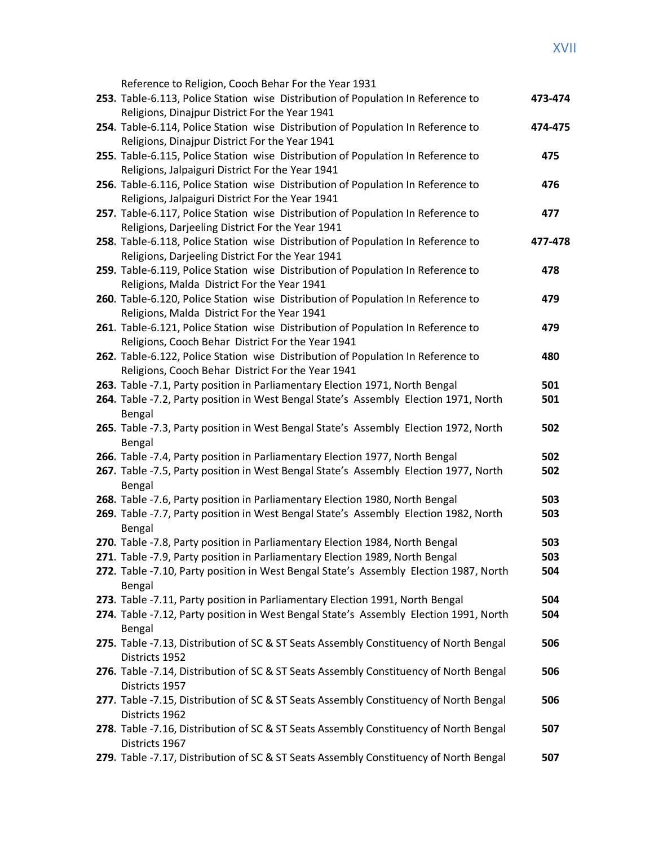| Reference to Religion, Cooch Behar For the Year 1931                                                                            |         |
|---------------------------------------------------------------------------------------------------------------------------------|---------|
| 253. Table-6.113, Police Station wise Distribution of Population In Reference to                                                | 473-474 |
| Religions, Dinajpur District For the Year 1941                                                                                  |         |
| 254. Table-6.114, Police Station wise Distribution of Population In Reference to                                                | 474-475 |
| Religions, Dinajpur District For the Year 1941                                                                                  |         |
| 255. Table-6.115, Police Station wise Distribution of Population In Reference to                                                | 475     |
| Religions, Jalpaiguri District For the Year 1941                                                                                |         |
| 256. Table-6.116, Police Station wise Distribution of Population In Reference to                                                | 476     |
| Religions, Jalpaiguri District For the Year 1941                                                                                |         |
| 257. Table-6.117, Police Station wise Distribution of Population In Reference to                                                | 477     |
| Religions, Darjeeling District For the Year 1941                                                                                |         |
| 258. Table-6.118, Police Station wise Distribution of Population In Reference to                                                | 477-478 |
| Religions, Darjeeling District For the Year 1941                                                                                |         |
| 259. Table-6.119, Police Station wise Distribution of Population In Reference to                                                | 478     |
| Religions, Malda District For the Year 1941                                                                                     |         |
| 260. Table-6.120, Police Station wise Distribution of Population In Reference to                                                | 479     |
| Religions, Malda District For the Year 1941<br>261. Table-6.121, Police Station wise Distribution of Population In Reference to | 479     |
| Religions, Cooch Behar District For the Year 1941                                                                               |         |
| 262. Table-6.122, Police Station wise Distribution of Population In Reference to                                                | 480     |
| Religions, Cooch Behar District For the Year 1941                                                                               |         |
| 263. Table -7.1, Party position in Parliamentary Election 1971, North Bengal                                                    | 501     |
| 264. Table -7.2, Party position in West Bengal State's Assembly Election 1971, North                                            | 501     |
| Bengal                                                                                                                          |         |
| 265. Table -7.3, Party position in West Bengal State's Assembly Election 1972, North                                            | 502     |
| Bengal                                                                                                                          |         |
| 266. Table -7.4, Party position in Parliamentary Election 1977, North Bengal                                                    | 502     |
| 267. Table -7.5, Party position in West Bengal State's Assembly Election 1977, North                                            | 502     |
| Bengal                                                                                                                          |         |
| 268. Table -7.6, Party position in Parliamentary Election 1980, North Bengal                                                    | 503     |
| 269. Table -7.7, Party position in West Bengal State's Assembly Election 1982, North                                            | 503     |
| Bengal                                                                                                                          |         |
| 270. Table -7.8, Party position in Parliamentary Election 1984, North Bengal                                                    | 503     |
| 271. Table -7.9, Party position in Parliamentary Election 1989, North Bengal                                                    | 503     |
| 272. Table -7.10, Party position in West Bengal State's Assembly Election 1987, North<br>Bengal                                 | 504     |
| 273. Table -7.11, Party position in Parliamentary Election 1991, North Bengal                                                   | 504     |
| 274. Table -7.12, Party position in West Bengal State's Assembly Election 1991, North                                           | 504     |
| Bengal                                                                                                                          |         |
| 275. Table -7.13, Distribution of SC & ST Seats Assembly Constituency of North Bengal                                           | 506     |
| Districts 1952                                                                                                                  |         |
| 276. Table -7.14, Distribution of SC & ST Seats Assembly Constituency of North Bengal                                           | 506     |
| Districts 1957                                                                                                                  |         |
| 277. Table -7.15, Distribution of SC & ST Seats Assembly Constituency of North Bengal                                           | 506     |
| Districts 1962                                                                                                                  |         |
| 278. Table -7.16, Distribution of SC & ST Seats Assembly Constituency of North Bengal                                           | 507     |
| Districts 1967                                                                                                                  |         |
| 279. Table -7.17, Distribution of SC & ST Seats Assembly Constituency of North Bengal                                           | 507     |